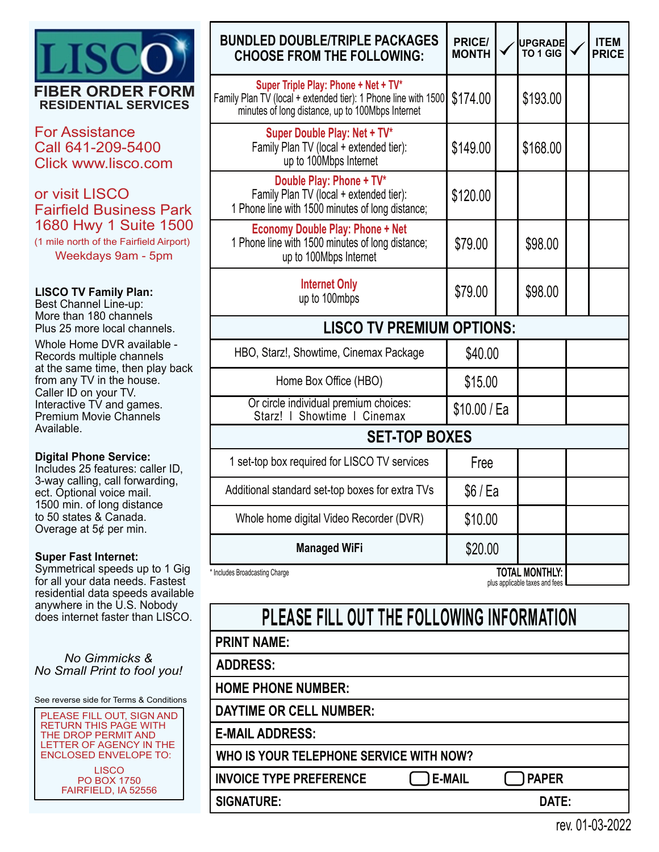

For Assistance Call 641-209-5400 Click www.lisco.com

# or visit LISCO Fairfield Business Park 1680 Hwy 1 Suite 1500

(1 mile north of the Fairfield Airport) Weekdays 9am - 5pm

### **LISCO TV Family Plan:**

Best Channel Line-up: More than 180 channels Plus 25 more local channels.

| Whole Home DVR available -<br>Records multiple channels<br>at the same time, then play back                      |  |
|------------------------------------------------------------------------------------------------------------------|--|
| from any TV in the house.<br>Caller ID on your TV.<br>Interactive TV and games.<br><b>Premium Movie Channels</b> |  |
| Available.                                                                                                       |  |

#### **Digital Phone Service:**

Includes 25 features: caller ID, 3-way calling, call forwarding, ect. Optional voice mail. 1500 min. of long distance to 50 states & Canada. Overage at 5¢ per min.

#### **Super Fast Internet:**

Symmetrical speeds up to 1 Gig for all your data needs. Fastest residential data speeds available anywhere in the U.S. Nobody does internet faster than LISCO.

*No Gimmicks & No Small Print to fool you!*

See reverse side for Terms & Conditions

PLEASE FILL OUT, SIGN AND RETURN THIS PAGE WITH THE DROP PERMIT AND LETTER OF AGENCY IN THE ENCLOSED ENVELOPE TO:

**LISCO** PO BOX 1750 FAIRFIELD, IA 52556

| <b>BUNDLED DOUBLE/TRIPLE PACKAGES</b><br><b>CHOOSE FROM THE FOLLOWING:</b>                                                                                 | <b>PRICE/</b><br><b>MONTH</b> |  | <b>UPGRADE</b><br>TO 1 GIG |  | <b>ITEM</b><br><b>PRICE</b> |  |  |  |
|------------------------------------------------------------------------------------------------------------------------------------------------------------|-------------------------------|--|----------------------------|--|-----------------------------|--|--|--|
| Super Triple Play: Phone + Net + TV*<br>Family Plan TV (local + extended tier): 1 Phone line with 1500<br>minutes of long distance, up to 100Mbps Internet | \$174.00                      |  | \$193.00                   |  |                             |  |  |  |
| Super Double Play: Net + TV*<br>Family Plan TV (local + extended tier):<br>up to 100Mbps Internet                                                          | \$149.00                      |  | \$168.00                   |  |                             |  |  |  |
| Double Play: Phone + TV*<br>Family Plan TV (local + extended tier):<br>1 Phone line with 1500 minutes of long distance;                                    | \$120.00                      |  |                            |  |                             |  |  |  |
| <b>Economy Double Play: Phone + Net</b><br>1 Phone line with 1500 minutes of long distance;<br>up to 100Mbps Internet                                      | \$79.00                       |  | \$98.00                    |  |                             |  |  |  |
| <b>Internet Only</b><br>up to 100mbps                                                                                                                      | \$79.00                       |  | \$98.00                    |  |                             |  |  |  |
| <b>LISCO TV PREMIUM OPTIONS:</b>                                                                                                                           |                               |  |                            |  |                             |  |  |  |
| HBO, Starz!, Showtime, Cinemax Package                                                                                                                     | \$40.00                       |  |                            |  |                             |  |  |  |
| Home Box Office (HBO)                                                                                                                                      | \$15.00                       |  |                            |  |                             |  |  |  |
| Or circle individual premium choices:<br>Starz!   Showtime   Cinemax                                                                                       | \$10.00 / Ea                  |  |                            |  |                             |  |  |  |
| <b>SET-TOP BOXES</b>                                                                                                                                       |                               |  |                            |  |                             |  |  |  |
| 1 set-top box required for LISCO TV services                                                                                                               | Free                          |  |                            |  |                             |  |  |  |
| Additional standard set-top boxes for extra TVs                                                                                                            | \$6/Ea                        |  |                            |  |                             |  |  |  |
| Whole home digital Video Recorder (DVR)                                                                                                                    | \$10.00                       |  |                            |  |                             |  |  |  |
| <b>Managed WiFi</b>                                                                                                                                        | \$20.00                       |  |                            |  |                             |  |  |  |
| <b>TOTAL MONTHLY:</b><br>* Includes Broadcasting Charge<br>plus applicable taxes and fees                                                                  |                               |  |                            |  |                             |  |  |  |

| PLEASE FILL OUT THE FOLLOWING INFORMATION |               |              |  |
|-------------------------------------------|---------------|--------------|--|
| <b>PRINT NAME:</b>                        |               |              |  |
| <b>ADDRESS:</b>                           |               |              |  |
| <b>HOME PHONE NUMBER:</b>                 |               |              |  |
| <b>DAYTIME OR CELL NUMBER:</b>            |               |              |  |
| <b>E-MAIL ADDRESS:</b>                    |               |              |  |
| WHO IS YOUR TELEPHONE SERVICE WITH NOW?   |               |              |  |
| <b>INVOICE TYPE PREFERENCE</b>            | <b>E-MAIL</b> | <b>PAPER</b> |  |
| <b>SIGNATURE:</b>                         |               | DATE:        |  |